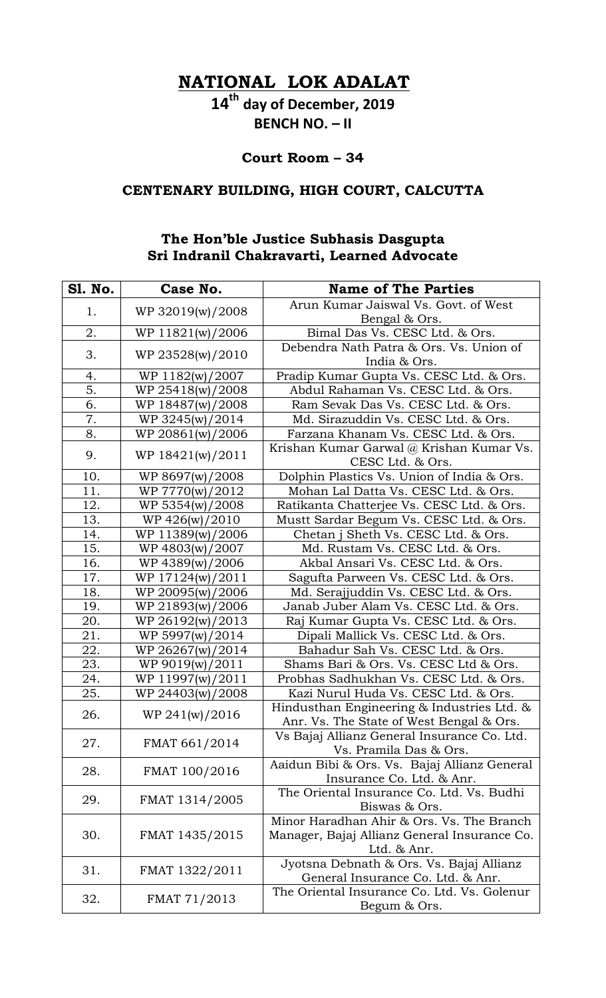**NATIONAL LOK ADALAT**

**14th day of December, 2019 BENCH NO. – II**

**Court Room – 34**

## **CENTENARY BUILDING, HIGH COURT, CALCUTTA**

## **The Hon'ble Justice Subhasis Dasgupta Sri Indranil Chakravarti, Learned Advocate**

| <b>S1. No.</b>   | Case No.          | <b>Name of The Parties</b>                                                                               |
|------------------|-------------------|----------------------------------------------------------------------------------------------------------|
| 1.               | WP 32019(w)/2008  | Arun Kumar Jaiswal Vs. Govt. of West                                                                     |
|                  |                   | Bengal & Ors.                                                                                            |
| 2.               | WP 11821(w)/2006  | Bimal Das Vs. CESC Ltd. & Ors.                                                                           |
| 3.               | WP 23528(w)/2010  | Debendra Nath Patra & Ors. Vs. Union of<br>India & Ors.                                                  |
| 4.               | WP 1182(w)/2007   | Pradip Kumar Gupta Vs. CESC Ltd. & Ors.                                                                  |
| $\overline{5}$ . | WP 25418(w)/2008  | Abdul Rahaman Vs. CESC Ltd. & Ors.                                                                       |
| 6.               | WP 18487(w)/2008  | Ram Sevak Das Vs. CESC Ltd. & Ors.                                                                       |
| 7.               | WP 3245(w)/2014   | Md. Sirazuddin Vs. CESC Ltd. & Ors.                                                                      |
| 8.               | WP 20861(w)/2006  | Farzana Khanam Vs. CESC Ltd. & Ors.                                                                      |
| 9.               | WP 18421(w)/2011  | Krishan Kumar Garwal @ Krishan Kumar Vs.<br>CESC Ltd. & Ors.                                             |
| 10.              | WP 8697(w)/2008   | Dolphin Plastics Vs. Union of India & Ors.                                                               |
| 11.              | WP 7770(w)/2012   | Mohan Lal Datta Vs. CESC Ltd. & Ors.                                                                     |
| 12.              | WP 5354(w)/2008   | Ratikanta Chatterjee Vs. CESC Ltd. & Ors.                                                                |
| 13.              | $WP\ 426(w)/2010$ | Mustt Sardar Begum Vs. CESC Ltd. & Ors.                                                                  |
| 14.              | WP 11389(w)/2006  | Chetan j Sheth Vs. CESC Ltd. & Ors.                                                                      |
| 15.              | WP 4803(w)/2007   | Md. Rustam Vs. CESC Ltd. & Ors.                                                                          |
| 16.              | WP 4389(w)/2006   | Akbal Ansari Vs. CESC Ltd. & Ors.                                                                        |
| 17.              | WP 17124(w)/2011  | Sagufta Parween Vs. CESC Ltd. & Ors.                                                                     |
| 18.              | WP 20095(w)/2006  | Md. Serajjuddin Vs. CESC Ltd. & Ors.                                                                     |
| 19.              | WP 21893(w)/2006  | Janab Juber Alam Vs. CESC Ltd. & Ors.                                                                    |
| 20.              | WP 26192(w)/2013  | Raj Kumar Gupta Vs. CESC Ltd. & Ors.                                                                     |
| 21.              | WP 5997(w)/2014   | Dipali Mallick Vs. CESC Ltd. & Ors.                                                                      |
| 22.              | WP 26267(w)/2014  | Bahadur Sah Vs. CESC Ltd. & Ors.                                                                         |
| 23.              | WP 9019(w)/2011   | Shams Bari & Ors. Vs. CESC Ltd & Ors.                                                                    |
| 24.              | WP 11997(w)/2011  | Probhas Sadhukhan Vs. CESC Ltd. & Ors.                                                                   |
| 25.              | WP 24403(w)/2008  | Kazi Nurul Huda Vs. CESC Ltd. & Ors.                                                                     |
| 26.              | WP 241(w)/2016    | Hindusthan Engineering & Industries Ltd. &<br>Anr. Vs. The State of West Bengal & Ors.                   |
| 27.              | FMAT 661/2014     | Vs Bajaj Allianz General Insurance Co. Ltd.<br>Vs. Pramila Das & Ors.                                    |
| 28.              | FMAT 100/2016     | Aaidun Bibi & Ors. Vs. Bajaj Allianz General<br>Insurance Co. Ltd. & Anr.                                |
| 29.              | FMAT 1314/2005    | The Oriental Insurance Co. Ltd. Vs. Budhi<br>Biswas & Ors.                                               |
| 30.              | FMAT 1435/2015    | Minor Haradhan Ahir & Ors. Vs. The Branch<br>Manager, Bajaj Allianz General Insurance Co.<br>Ltd. & Anr. |
| 31.              | FMAT 1322/2011    | Jyotsna Debnath & Ors. Vs. Bajaj Allianz<br>General Insurance Co. Ltd. & Anr.                            |
| 32.              | FMAT 71/2013      | The Oriental Insurance Co. Ltd. Vs. Golenur<br>Begum & Ors.                                              |